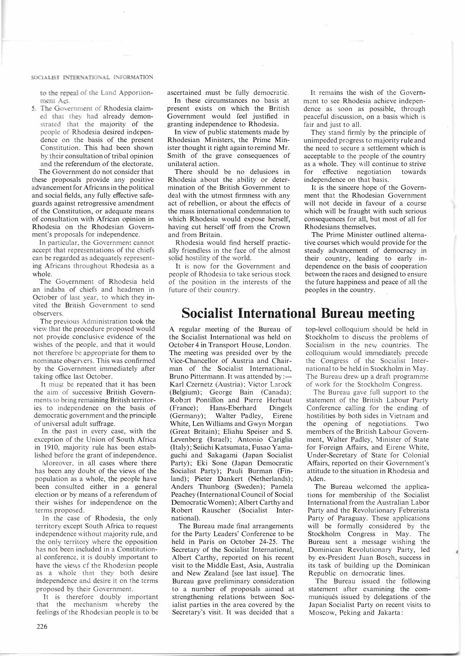## SOCIALIST INTERNATIONAL INFORMATION

to the repeal of the Land Apportionment Act

5. The Government of Rhodesia claimed chat they had already demonsrrated that the majority of the people of Rhodesia desired independence on the basis of the present Constitution. This had been shown by their consultation of tribal opinion and the referendum of the electorate.

The Government do not consider that these proposals provide any positive advancement for Africans in the political and social fields, any fully effective safeguards against retrogressive amendment of the Constitution, or adequate means of consultation with African opinion in Rhodesia on the Rhodesian Government's proposals for independence.

In particular, the Government cannot accept that representations of the chiefs can be regarded as adequately representing Africans throughout Rhodesia as a whole.

The Government of Rhodesia held an indaba of chiefs and headmen in October of last year, to which they invited the British Government to send observers.

The previous Administration took the view that the procedure proposed would not provide conclusive evidence of the wishes of the people, and that it would not therefore be appropriate for them to nominate observers. This was confirmed by the Government immediately after taking office last October.

It must be repeated that it has been the aim of successive British Governments to bring remaining British territories to independence on the basis of democratic government and the principle of universal adult suffrage.

In the past in every case, with the exception of the Union of South Africa in 1910, majority rule has been established before the grant of independence.

Moreover, in all cases where there has been any doubt of the views of the population as a whole, the people have been consulted either in a general election or by means of a referendum of their wishes for independence on the terms proposed.

In the case of Rhodesia, the only territory except South Africa to request independence without majority rule, and the only territory where the opposition has not been included in a Constitutional conference, it is doubly important to have the views cf the Rhodesian people as a whole that they both desire independence and desire it on the terms proposed by their Government.

It is therefore doubly important that the mechanism whereby the feelings of the Rhodesian people is to be ascertained must be fully democratic. In these circumstances no basis at

present exists on which the British Government would feel justified in granting independence to Rhodesia.

In view of public statements made by Rhodesian Ministers, the Prime Minister thought it right again to remind Mr. Smith of the grave consequences of unilateral action.

There should be no delusions in Rhodesia about the ability or determination of the British Government to deal with the utmost firmness with any act of rebellion, or about the effects of the mass international condemnation to which Rhodesia would expose herself, having cut herself'off from the Crown and from Britain.

Rhodesia would find herself practically friendless in the face of the almost solid hostility of the world.

It is now for the Government and people of Rhodesia to take serious stock of the position in the interests of the future of their country.

It remains the wish of the Govemment to see Rhodesia achieve independence as soon as possible, through peaceful discussion, on a basis which is fair and just to all.

They stand firmly by the principle of unimpeded progress to majority rule and the need to secure a settlement which is acceptable to the people of the country as a whole. They will continue to strive for effective negotiation towards independence on that basis.

It is the sincere hope of the Government that the Rhodesian Government will not decide in favour of a course which will be fraught with such serious consequences for all, but most of all for Rhodesians themselves.

The Prime Minister outlined alternative courses which would provide for the steady advancement of democracy in their country, leading to early independence on the basis of cooperation between the races and designed to ensure the future happiness and peace of all the peoples in the country.

## **Socialist International Bureau meeting**

A regular meeting of the Bureau of the Socialist International was held on October 4 in Transport House, London. The meeting was presided over by the Vice-Chancellor of Austria and Chairman of the Socialist International, Bruno Pittermann. It was attended by: Karl Czernetz (Austria); Victor Larock' (Belgium); George Bain (Canada); Robert Pontillon and Pierre Herbaut<br>(France); Hans-Eberhard Dingels Hans-Eberhard (Germany); Walter Padley, Eirene White, Len Williams and Gwyn Morgan (Great Britain); Eliahu Speiser and S. Levenberg (Israel); Antonio Cariglia (Italy); Seiichi Katsumata, Fusao Yamaguchi and Sakagami (Japan Socialist Party); Eki Sone (Japan Democratic Socialist Party); Pauli Burman (Finland); Pieter Dankert (Netherlands); Anders Thunborg (Sweden); Pamela Peachey (International Council of Social Democratic Women); Albert Carthy and Robert Rauscher (Socialist International).

The Bureau made final arrangements for the Party Leaders' Conference to be held in Paris on October 24-25. The Secretary of the Socialist International, Albert Carthy, reported on his recent visit to the Middle East, Asia, Australia and New Zealand [see last issue]. The Bureau gave preliminary consideration to a number of proposals aimed at strengthening relations between Socialist parties in the area covered by the Secretary's visit. It was decided that a

top-level colloquium should be held in Stockholm to discuss the problems of Socialism in the new countries. The colloquium would immediately precede the Congress of the Socialist International to be held in Stockholm in May. The Bureau drew up a draft programme of work for the Stockholm Congress.

The Bureau gave full support to the statement of the British Labour Party Conference calling for the ending of hostilities by both sides in Vietnam and the opening of negotiations. Two members of the British Labour Government, Walter Padley, Minister of State for Foreign Affairs, and Eirene White, Under-Secretary of State for Colonial Affairs, reported on their Government's attitude to the situation in Rhodesia and Aden.

The Bureau welcomed the applications for membership of the Socialist International from the Australian Labor Party and the Revolutionary Febrerista Party of Paraguay. These applications will be formally considered by the Stockholm Congress in May. The Bureau sent a message wishing the Dominican Revolutionary Party, led by ex-President Juan Bosch, success in its task of building up the Dominican Republic on democratic lines.

The Bureau issued the following statement after examining the communiques issued by delegations of the Japan Socialist Party on recent visits to Moscow, Peking an'd Jakarta: